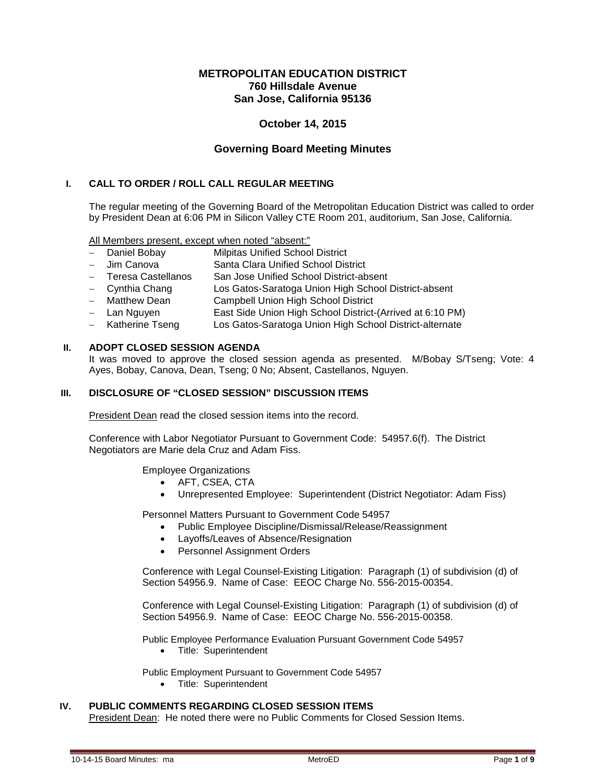# **METROPOLITAN EDUCATION DISTRICT 760 Hillsdale Avenue San Jose, California 95136**

# **October 14, 2015**

# **Governing Board Meeting Minutes**

## **I. CALL TO ORDER / ROLL CALL REGULAR MEETING**

The regular meeting of the Governing Board of the Metropolitan Education District was called to order by President Dean at 6:06 PM in Silicon Valley CTE Room 201, auditorium, San Jose, California.

All Members present, except when noted "absent:"

- − Daniel Bobay Milpitas Unified School District
- − Jim Canova Santa Clara Unified School District
- − Teresa Castellanos San Jose Unified School District-absent
- − Cynthia Chang Los Gatos-Saratoga Union High School District-absent
- − Matthew Dean Campbell Union High School District
- − Lan Nguyen East Side Union High School District-(Arrived at 6:10 PM)
- − Katherine Tseng Los Gatos-Saratoga Union High School District-alternate

#### **II. ADOPT CLOSED SESSION AGENDA**

It was moved to approve the closed session agenda as presented. M/Bobay S/Tseng; Vote: 4 Ayes, Bobay, Canova, Dean, Tseng; 0 No; Absent, Castellanos, Nguyen.

## **III. DISCLOSURE OF "CLOSED SESSION" DISCUSSION ITEMS**

President Dean read the closed session items into the record.

Conference with Labor Negotiator Pursuant to Government Code: 54957.6(f). The District Negotiators are Marie dela Cruz and Adam Fiss.

Employee Organizations

- AFT, CSEA, CTA
- Unrepresented Employee: Superintendent (District Negotiator: Adam Fiss)

Personnel Matters Pursuant to Government Code 54957

- Public Employee Discipline/Dismissal/Release/Reassignment
- Layoffs/Leaves of Absence/Resignation
- Personnel Assignment Orders

Conference with Legal Counsel-Existing Litigation: Paragraph (1) of subdivision (d) of Section 54956.9. Name of Case: EEOC Charge No. 556-2015-00354.

Conference with Legal Counsel-Existing Litigation: Paragraph (1) of subdivision (d) of Section 54956.9. Name of Case: EEOC Charge No. 556-2015-00358.

Public Employee Performance Evaluation Pursuant Government Code 54957

• Title: Superintendent

Public Employment Pursuant to Government Code 54957

• Title: Superintendent

#### **IV. PUBLIC COMMENTS REGARDING CLOSED SESSION ITEMS**

President Dean: He noted there were no Public Comments for Closed Session Items.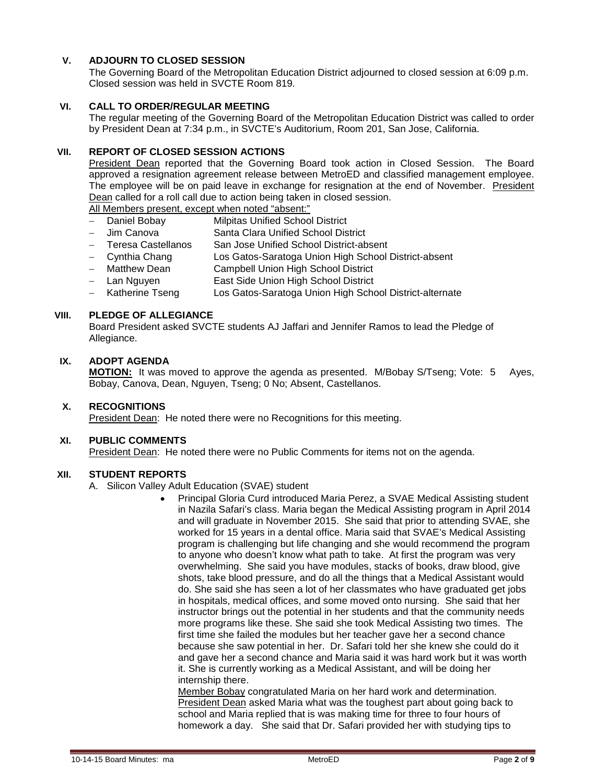# **V. ADJOURN TO CLOSED SESSION**

The Governing Board of the Metropolitan Education District adjourned to closed session at 6:09 p.m. Closed session was held in SVCTE Room 819.

# **VI. CALL TO ORDER/REGULAR MEETING**

The regular meeting of the Governing Board of the Metropolitan Education District was called to order by President Dean at 7:34 p.m., in SVCTE's Auditorium, Room 201, San Jose, California.

## **VII. REPORT OF CLOSED SESSION ACTIONS**

President Dean reported that the Governing Board took action in Closed Session. The Board approved a resignation agreement release between MetroED and classified management employee. The employee will be on paid leave in exchange for resignation at the end of November. President Dean called for a roll call due to action being taken in closed session.

All Members present, except when noted "absent:"

- Daniel Bobay Milpitas Unified School District
- − Jim Canova Santa Clara Unified School District
- − Teresa Castellanos San Jose Unified School District-absent
- − Cynthia Chang Los Gatos-Saratoga Union High School District-absent
- − Matthew Dean Campbell Union High School District
- − Lan Nguyen East Side Union High School District
- − Katherine Tseng Los Gatos-Saratoga Union High School District-alternate

## **VIII. PLEDGE OF ALLEGIANCE**

Board President asked SVCTE students AJ Jaffari and Jennifer Ramos to lead the Pledge of Allegiance.

# **IX. ADOPT AGENDA**

**MOTION:** It was moved to approve the agenda as presented. M/Bobay S/Tseng; Vote: 5 Ayes, Bobay, Canova, Dean, Nguyen, Tseng; 0 No; Absent, Castellanos.

#### **X. RECOGNITIONS**

President Dean: He noted there were no Recognitions for this meeting.

#### **XI. PUBLIC COMMENTS**

President Dean: He noted there were no Public Comments for items not on the agenda.

#### **XII. STUDENT REPORTS**

A. Silicon Valley Adult Education (SVAE) student

• Principal Gloria Curd introduced Maria Perez, a SVAE Medical Assisting student in Nazila Safari's class. Maria began the Medical Assisting program in April 2014 and will graduate in November 2015. She said that prior to attending SVAE, she worked for 15 years in a dental office. Maria said that SVAE's Medical Assisting program is challenging but life changing and she would recommend the program to anyone who doesn't know what path to take. At first the program was very overwhelming. She said you have modules, stacks of books, draw blood, give shots, take blood pressure, and do all the things that a Medical Assistant would do. She said she has seen a lot of her classmates who have graduated get jobs in hospitals, medical offices, and some moved onto nursing. She said that her instructor brings out the potential in her students and that the community needs more programs like these. She said she took Medical Assisting two times. The first time she failed the modules but her teacher gave her a second chance because she saw potential in her. Dr. Safari told her she knew she could do it and gave her a second chance and Maria said it was hard work but it was worth it. She is currently working as a Medical Assistant, and will be doing her internship there. Member Bobay congratulated Maria on her hard work and determination.

President Dean asked Maria what was the toughest part about going back to school and Maria replied that is was making time for three to four hours of homework a day. She said that Dr. Safari provided her with studying tips to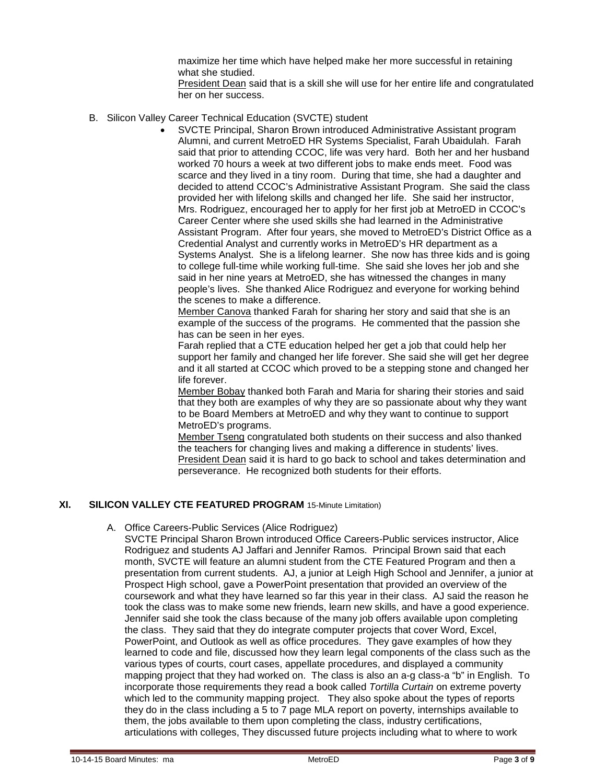maximize her time which have helped make her more successful in retaining what she studied.

President Dean said that is a skill she will use for her entire life and congratulated her on her success.

- B. Silicon Valley Career Technical Education (SVCTE) student
	- SVCTE Principal, Sharon Brown introduced Administrative Assistant program Alumni, and current MetroED HR Systems Specialist, Farah Ubaidulah. Farah said that prior to attending CCOC, life was very hard. Both her and her husband worked 70 hours a week at two different jobs to make ends meet. Food was scarce and they lived in a tiny room. During that time, she had a daughter and decided to attend CCOC's Administrative Assistant Program. She said the class provided her with lifelong skills and changed her life. She said her instructor, Mrs. Rodriguez, encouraged her to apply for her first job at MetroED in CCOC's Career Center where she used skills she had learned in the Administrative Assistant Program. After four years, she moved to MetroED's District Office as a Credential Analyst and currently works in MetroED's HR department as a Systems Analyst. She is a lifelong learner. She now has three kids and is going to college full-time while working full-time. She said she loves her job and she said in her nine years at MetroED, she has witnessed the changes in many people's lives. She thanked Alice Rodriguez and everyone for working behind the scenes to make a difference.

Member Canova thanked Farah for sharing her story and said that she is an example of the success of the programs. He commented that the passion she has can be seen in her eyes.

Farah replied that a CTE education helped her get a job that could help her support her family and changed her life forever. She said she will get her degree and it all started at CCOC which proved to be a stepping stone and changed her life forever.

Member Bobay thanked both Farah and Maria for sharing their stories and said that they both are examples of why they are so passionate about why they want to be Board Members at MetroED and why they want to continue to support MetroED's programs.

Member Tseng congratulated both students on their success and also thanked the teachers for changing lives and making a difference in students' lives. President Dean said it is hard to go back to school and takes determination and perseverance. He recognized both students for their efforts.

# **XI. SILICON VALLEY CTE FEATURED PROGRAM** 15-Minute Limitation)

A. Office Careers-Public Services (Alice Rodriguez)

SVCTE Principal Sharon Brown introduced Office Careers-Public services instructor, Alice Rodriguez and students AJ Jaffari and Jennifer Ramos. Principal Brown said that each month, SVCTE will feature an alumni student from the CTE Featured Program and then a presentation from current students. AJ, a junior at Leigh High School and Jennifer, a junior at Prospect High school, gave a PowerPoint presentation that provided an overview of the coursework and what they have learned so far this year in their class. AJ said the reason he took the class was to make some new friends, learn new skills, and have a good experience. Jennifer said she took the class because of the many job offers available upon completing the class. They said that they do integrate computer projects that cover Word, Excel, PowerPoint, and Outlook as well as office procedures. They gave examples of how they learned to code and file, discussed how they learn legal components of the class such as the various types of courts, court cases, appellate procedures, and displayed a community mapping project that they had worked on. The class is also an a-g class-a "b" in English. To incorporate those requirements they read a book called *Tortilla Curtain* on extreme poverty which led to the community mapping project. They also spoke about the types of reports they do in the class including a 5 to 7 page MLA report on poverty, internships available to them, the jobs available to them upon completing the class, industry certifications, articulations with colleges, They discussed future projects including what to where to work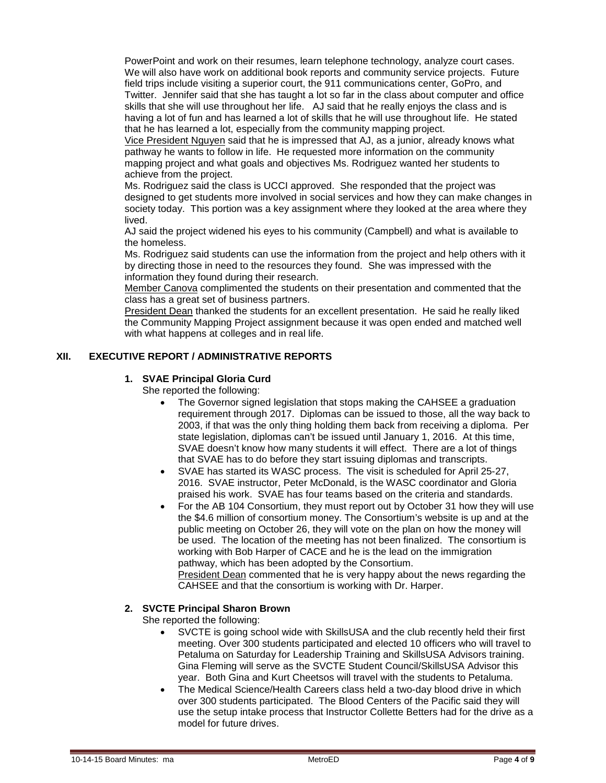PowerPoint and work on their resumes, learn telephone technology, analyze court cases. We will also have work on additional book reports and community service projects. Future field trips include visiting a superior court, the 911 communications center, GoPro, and Twitter. Jennifer said that she has taught a lot so far in the class about computer and office skills that she will use throughout her life. AJ said that he really enjoys the class and is having a lot of fun and has learned a lot of skills that he will use throughout life. He stated that he has learned a lot, especially from the community mapping project.

Vice President Nguyen said that he is impressed that AJ, as a junior, already knows what pathway he wants to follow in life. He requested more information on the community mapping project and what goals and objectives Ms. Rodriguez wanted her students to achieve from the project.

Ms. Rodriguez said the class is UCCI approved. She responded that the project was designed to get students more involved in social services and how they can make changes in society today. This portion was a key assignment where they looked at the area where they lived.

AJ said the project widened his eyes to his community (Campbell) and what is available to the homeless.

Ms. Rodriguez said students can use the information from the project and help others with it by directing those in need to the resources they found. She was impressed with the information they found during their research.

Member Canova complimented the students on their presentation and commented that the class has a great set of business partners.

President Dean thanked the students for an excellent presentation. He said he really liked the Community Mapping Project assignment because it was open ended and matched well with what happens at colleges and in real life.

# **XII. EXECUTIVE REPORT / ADMINISTRATIVE REPORTS**

#### **1. SVAE Principal Gloria Curd**

She reported the following:

- The Governor signed legislation that stops making the CAHSEE a graduation requirement through 2017. Diplomas can be issued to those, all the way back to 2003, if that was the only thing holding them back from receiving a diploma. Per state legislation, diplomas can't be issued until January 1, 2016. At this time, SVAE doesn't know how many students it will effect. There are a lot of things that SVAE has to do before they start issuing diplomas and transcripts.
- SVAE has started its WASC process. The visit is scheduled for April 25-27, 2016. SVAE instructor, Peter McDonald, is the WASC coordinator and Gloria praised his work. SVAE has four teams based on the criteria and standards.
- For the AB 104 Consortium, they must report out by October 31 how they will use the \$4.6 million of consortium money. The Consortium's website is up and at the public meeting on October 26, they will vote on the plan on how the money will be used. The location of the meeting has not been finalized. The consortium is working with Bob Harper of CACE and he is the lead on the immigration pathway, which has been adopted by the Consortium.

President Dean commented that he is very happy about the news regarding the CAHSEE and that the consortium is working with Dr. Harper.

### **2. SVCTE Principal Sharon Brown**

She reported the following:

- SVCTE is going school wide with SkillsUSA and the club recently held their first meeting. Over 300 students participated and elected 10 officers who will travel to Petaluma on Saturday for Leadership Training and SkillsUSA Advisors training. Gina Fleming will serve as the SVCTE Student Council/SkillsUSA Advisor this year. Both Gina and Kurt Cheetsos will travel with the students to Petaluma.
- The Medical Science/Health Careers class held a two-day blood drive in which over 300 students participated. The Blood Centers of the Pacific said they will use the setup intake process that Instructor Collette Betters had for the drive as a model for future drives.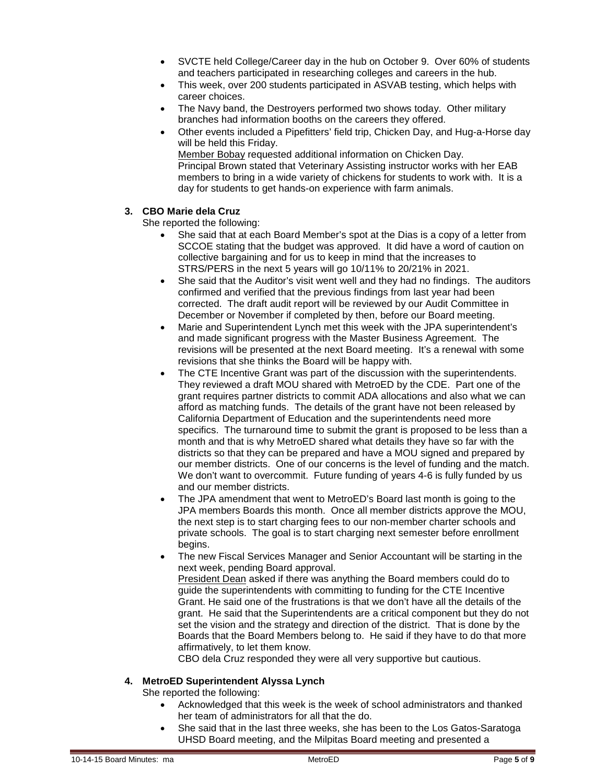- SVCTE held College/Career day in the hub on October 9. Over 60% of students and teachers participated in researching colleges and careers in the hub.
- This week, over 200 students participated in ASVAB testing, which helps with career choices.
- The Navy band, the Destroyers performed two shows today. Other military branches had information booths on the careers they offered.
- Other events included a Pipefitters' field trip, Chicken Day, and Hug-a-Horse day will be held this Friday. Member Bobay requested additional information on Chicken Day. Principal Brown stated that Veterinary Assisting instructor works with her EAB members to bring in a wide variety of chickens for students to work with. It is a day for students to get hands-on experience with farm animals.

# **3. CBO Marie dela Cruz**

She reported the following:

- She said that at each Board Member's spot at the Dias is a copy of a letter from SCCOE stating that the budget was approved. It did have a word of caution on collective bargaining and for us to keep in mind that the increases to STRS/PERS in the next 5 years will go 10/11% to 20/21% in 2021.
- She said that the Auditor's visit went well and they had no findings. The auditors confirmed and verified that the previous findings from last year had been corrected. The draft audit report will be reviewed by our Audit Committee in December or November if completed by then, before our Board meeting.
- Marie and Superintendent Lynch met this week with the JPA superintendent's and made significant progress with the Master Business Agreement. The revisions will be presented at the next Board meeting. It's a renewal with some revisions that she thinks the Board will be happy with.
- The CTE Incentive Grant was part of the discussion with the superintendents. They reviewed a draft MOU shared with MetroED by the CDE. Part one of the grant requires partner districts to commit ADA allocations and also what we can afford as matching funds. The details of the grant have not been released by California Department of Education and the superintendents need more specifics. The turnaround time to submit the grant is proposed to be less than a month and that is why MetroED shared what details they have so far with the districts so that they can be prepared and have a MOU signed and prepared by our member districts. One of our concerns is the level of funding and the match. We don't want to overcommit. Future funding of years 4-6 is fully funded by us and our member districts.
- The JPA amendment that went to MetroED's Board last month is going to the JPA members Boards this month. Once all member districts approve the MOU, the next step is to start charging fees to our non-member charter schools and private schools. The goal is to start charging next semester before enrollment begins.
	- The new Fiscal Services Manager and Senior Accountant will be starting in the next week, pending Board approval. President Dean asked if there was anything the Board members could do to guide the superintendents with committing to funding for the CTE Incentive Grant. He said one of the frustrations is that we don't have all the details of the grant. He said that the Superintendents are a critical component but they do not set the vision and the strategy and direction of the district. That is done by the Boards that the Board Members belong to. He said if they have to do that more affirmatively, to let them know.

CBO dela Cruz responded they were all very supportive but cautious.

# **4. MetroED Superintendent Alyssa Lynch**

She reported the following:

- Acknowledged that this week is the week of school administrators and thanked her team of administrators for all that the do.
- She said that in the last three weeks, she has been to the Los Gatos-Saratoga UHSD Board meeting, and the Milpitas Board meeting and presented a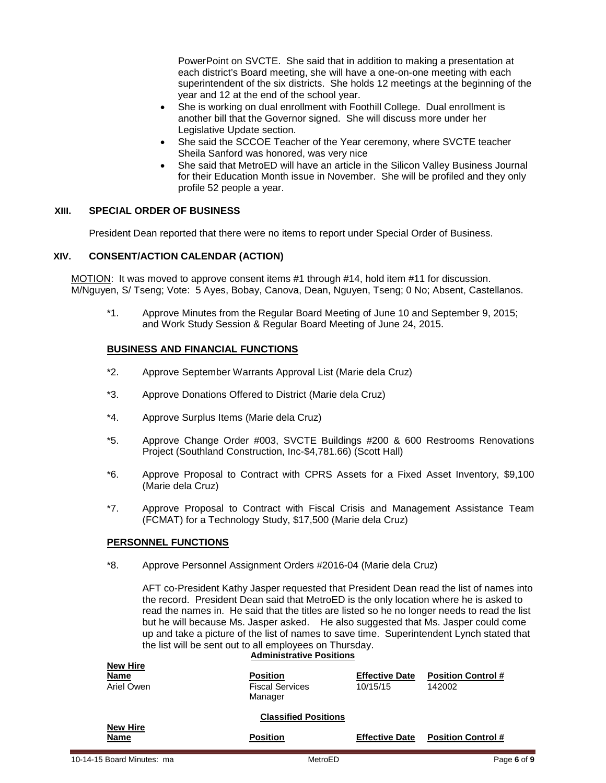PowerPoint on SVCTE. She said that in addition to making a presentation at each district's Board meeting, she will have a one-on-one meeting with each superintendent of the six districts. She holds 12 meetings at the beginning of the year and 12 at the end of the school year.

- She is working on dual enrollment with Foothill College. Dual enrollment is another bill that the Governor signed. She will discuss more under her Legislative Update section.
- She said the SCCOE Teacher of the Year ceremony, where SVCTE teacher Sheila Sanford was honored, was very nice
- She said that MetroED will have an article in the Silicon Valley Business Journal for their Education Month issue in November. She will be profiled and they only profile 52 people a year.

## **XIII. SPECIAL ORDER OF BUSINESS**

President Dean reported that there were no items to report under Special Order of Business.

## **XIV. CONSENT/ACTION CALENDAR (ACTION)**

MOTION:It was moved to approve consent items #1 through #14, hold item #11 for discussion. M/Nguyen, S/ Tseng; Vote: 5 Ayes, Bobay, Canova, Dean, Nguyen, Tseng; 0 No; Absent, Castellanos.

\*1. Approve Minutes from the Regular Board Meeting of June 10 and September 9, 2015; and Work Study Session & Regular Board Meeting of June 24, 2015.

#### **BUSINESS AND FINANCIAL FUNCTIONS**

- \*2. Approve September Warrants Approval List (Marie dela Cruz)
- \*3. Approve Donations Offered to District (Marie dela Cruz)
- \*4. Approve Surplus Items (Marie dela Cruz)
- \*5. Approve Change Order #003, SVCTE Buildings #200 & 600 Restrooms Renovations Project (Southland Construction, Inc-\$4,781.66) (Scott Hall)
- \*6. Approve Proposal to Contract with CPRS Assets for a Fixed Asset Inventory, \$9,100 (Marie dela Cruz)
- \*7. Approve Proposal to Contract with Fiscal Crisis and Management Assistance Team (FCMAT) for a Technology Study, \$17,500 (Marie dela Cruz)

#### **PERSONNEL FUNCTIONS**

\*8. Approve Personnel Assignment Orders #2016-04 (Marie dela Cruz)

AFT co-President Kathy Jasper requested that President Dean read the list of names into the record. President Dean said that MetroED is the only location where he is asked to read the names in. He said that the titles are listed so he no longer needs to read the list but he will because Ms. Jasper asked. He also suggested that Ms. Jasper could come up and take a picture of the list of names to save time. Superintendent Lynch stated that the list will be sent out to all employees on Thursday.

|                                | <b>Administrative Positions</b>                      |                                   |                                     |  |
|--------------------------------|------------------------------------------------------|-----------------------------------|-------------------------------------|--|
| New Hire<br>Name<br>Ariel Owen | <b>Position</b><br><b>Fiscal Services</b><br>Manager | <b>Effective Date</b><br>10/15/15 | <b>Position Control #</b><br>142002 |  |
|                                | <b>Classified Positions</b>                          |                                   |                                     |  |
| <b>New Hire</b><br>Name        | <b>Position</b>                                      | <b>Effective Date</b>             | <b>Position Control #</b>           |  |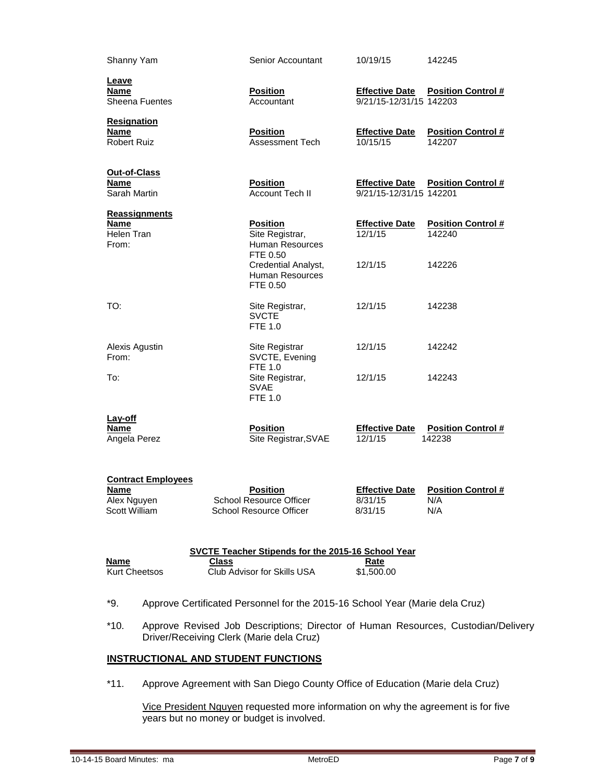| Shanny Yam                                                        | Senior Accountant                                                     | 10/19/15                                         | 142245                                  |  |  |  |  |
|-------------------------------------------------------------------|-----------------------------------------------------------------------|--------------------------------------------------|-----------------------------------------|--|--|--|--|
| Leave<br><b>Name</b><br><b>Sheena Fuentes</b>                     | <b>Position</b><br>Accountant                                         | <b>Effective Date</b><br>9/21/15-12/31/15 142203 | <b>Position Control #</b>               |  |  |  |  |
| <b>Resignation</b><br><b>Name</b><br><b>Robert Ruiz</b>           | <b>Position</b><br>Assessment Tech                                    | <b>Effective Date</b><br>10/15/15                | <b>Position Control #</b><br>142207     |  |  |  |  |
| Out-of-Class<br><b>Name</b><br>Sarah Martin                       | <b>Position</b><br><b>Account Tech II</b>                             | <b>Effective Date</b><br>9/21/15-12/31/15 142201 | <b>Position Control #</b>               |  |  |  |  |
| <b>Reassignments</b><br><b>Name</b><br>Helen Tran<br>From:        | <b>Position</b><br>Site Registrar,<br>Human Resources                 | <b>Effective Date</b><br>12/1/15                 | <b>Position Control #</b><br>142240     |  |  |  |  |
|                                                                   | FTE 0.50<br>Credential Analyst,<br><b>Human Resources</b><br>FTE 0.50 | 12/1/15                                          | 142226                                  |  |  |  |  |
| TO:                                                               | Site Registrar,<br><b>SVCTE</b><br>FTE 1.0                            | 12/1/15                                          | 142238                                  |  |  |  |  |
| Alexis Agustin<br>From:                                           | Site Registrar<br>SVCTE, Evening<br><b>FTE 1.0</b>                    | 12/1/15                                          | 142242                                  |  |  |  |  |
| To:                                                               | Site Registrar,<br><b>SVAE</b><br><b>FTE 1.0</b>                      | 12/1/15                                          | 142243                                  |  |  |  |  |
| Lay-off<br>Name<br>Angela Perez                                   | <b>Position</b><br>Site Registrar, SVAE                               | <b>Effective Date</b><br>12/1/15                 | <b>Position Control #</b><br>142238     |  |  |  |  |
| <b>Contract Employees</b><br>Name<br>Alex Nguyen<br>Scott William | <b>Position</b><br>School Resource Officer<br>School Resource Officer | <b>Effective Date</b><br>8/31/15<br>8/31/15      | <b>Position Control #</b><br>N/A<br>N/A |  |  |  |  |
| <b>SVCTE Teacher Stipends for the 2015-16 School Year</b>         |                                                                       |                                                  |                                         |  |  |  |  |
| <b>Name</b><br><b>Kurt Cheetsos</b>                               | <b>Class</b><br>Club Advisor for Skills USA                           | Rate<br>\$1,500.00                               |                                         |  |  |  |  |

- \*9. Approve Certificated Personnel for the 2015-16 School Year (Marie dela Cruz)
- \*10. Approve Revised Job Descriptions; Director of Human Resources, Custodian/Delivery Driver/Receiving Clerk (Marie dela Cruz)

# **INSTRUCTIONAL AND STUDENT FUNCTIONS**

\*11. Approve Agreement with San Diego County Office of Education (Marie dela Cruz)

Vice President Nguyen requested more information on why the agreement is for five years but no money or budget is involved.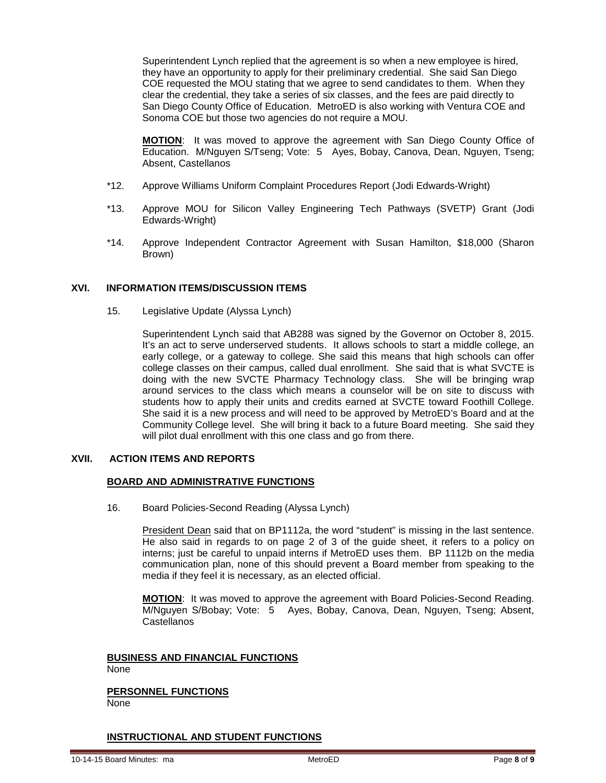Superintendent Lynch replied that the agreement is so when a new employee is hired, they have an opportunity to apply for their preliminary credential. She said San Diego COE requested the MOU stating that we agree to send candidates to them. When they clear the credential, they take a series of six classes, and the fees are paid directly to San Diego County Office of Education. MetroED is also working with Ventura COE and Sonoma COE but those two agencies do not require a MOU.

**MOTION**: It was moved to approve the agreement with San Diego County Office of Education. M/Nguyen S/Tseng; Vote: 5 Ayes, Bobay, Canova, Dean, Nguyen, Tseng; Absent, Castellanos

- \*12. Approve Williams Uniform Complaint Procedures Report (Jodi Edwards-Wright)
- \*13. Approve MOU for Silicon Valley Engineering Tech Pathways (SVETP) Grant (Jodi Edwards-Wright)
- \*14. Approve Independent Contractor Agreement with Susan Hamilton, \$18,000 (Sharon Brown)

## **XVI. INFORMATION ITEMS/DISCUSSION ITEMS**

15. Legislative Update (Alyssa Lynch)

Superintendent Lynch said that AB288 was signed by the Governor on October 8, 2015. It's an act to serve underserved students. It allows schools to start a middle college, an early college, or a gateway to college. She said this means that high schools can offer college classes on their campus, called dual enrollment. She said that is what SVCTE is doing with the new SVCTE Pharmacy Technology class. She will be bringing wrap around services to the class which means a counselor will be on site to discuss with students how to apply their units and credits earned at SVCTE toward Foothill College. She said it is a new process and will need to be approved by MetroED's Board and at the Community College level. She will bring it back to a future Board meeting. She said they will pilot dual enrollment with this one class and go from there.

## **XVII. ACTION ITEMS AND REPORTS**

#### **BOARD AND ADMINISTRATIVE FUNCTIONS**

16. Board Policies-Second Reading (Alyssa Lynch)

President Dean said that on BP1112a, the word "student" is missing in the last sentence. He also said in regards to on page 2 of 3 of the guide sheet, it refers to a policy on interns; just be careful to unpaid interns if MetroED uses them. BP 1112b on the media communication plan, none of this should prevent a Board member from speaking to the media if they feel it is necessary, as an elected official.

**MOTION**: It was moved to approve the agreement with Board Policies-Second Reading. M/Nguyen S/Bobay; Vote: 5 Ayes, Bobay, Canova, Dean, Nguyen, Tseng; Absent, **Castellanos** 

#### **BUSINESS AND FINANCIAL FUNCTIONS** None

**PERSONNEL FUNCTIONS** None

# **INSTRUCTIONAL AND STUDENT FUNCTIONS**